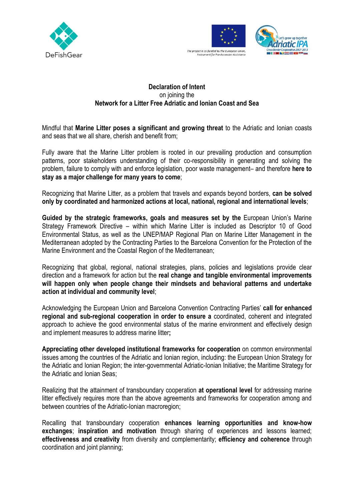



## **Declaration of Intent** on joining the **Network for a Litter Free Adriatic and Ionian Coast and Sea**

Mindful that **Marine Litter poses a significant and growing threat** to the Adriatic and Ionian coasts and seas that we all share, cherish and benefit from;

Fully aware that the Marine Litter problem is rooted in our prevailing production and consumption patterns, poor stakeholders understanding of their co-responsibility in generating and solving the problem, failure to comply with and enforce legislation, poor waste management– and therefore **here to stay as a major challenge for many years to come**;

Recognizing that Marine Litter, as a problem that travels and expands beyond borders, **can be solved only by coordinated and harmonized actions at local, national, regional and international levels**;

**Guided by the strategic frameworks, goals and measures set by the** European Union's Marine Strategy Framework Directive – within which Marine Litter is included as Descriptor 10 of Good Environmental Status, as well as the UNEP/MAP Regional Plan on Marine Litter Management in the Mediterranean adopted by the Contracting Parties to the Barcelona Convention for the Protection of the Marine Environment and the Coastal Region of the Mediterranean;

Recognizing that global, regional, national strategies, plans, policies and legislations provide clear direction and a framework for action but the **real change and tangible environmental improvements will happen only when people change their mindsets and behavioral patterns and undertake action at individual and community level**;

Acknowledging the European Union and Barcelona Convention Contracting Parties' **call for enhanced regional and sub-regional cooperation in order to ensure a** coordinated, coherent and integrated approach to achieve the good environmental status of the marine environment and effectively design and implement measures to address marine litter**;**

**Appreciating other developed institutional frameworks for cooperation** on common environmental issues among the countries of the Adriatic and Ionian region, including: the European Union Strategy for the Adriatic and Ionian Region; the inter-governmental Adriatic-Ionian Initiative; the Maritime Strategy for the Adriatic and Ionian Seas;

Realizing that the attainment of transboundary cooperation **at operational level** for addressing marine litter effectively requires more than the above agreements and frameworks for cooperation among and between countries of the Adriatic-Ionian macroregion;

Recalling that transboundary cooperation **enhances learning opportunities and know-how exchanges**; **inspiration and motivation** through sharing of experiences and lessons learned; **effectiveness and creativity** from diversity and complementarity; **efficiency and coherence** through coordination and joint planning;